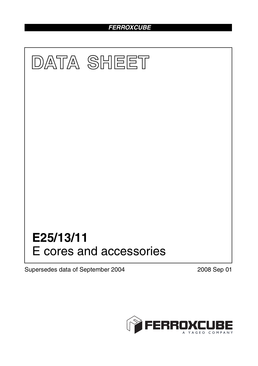# *FERROXCUBE*



Supersedes data of September 2004 2008 Sep 01

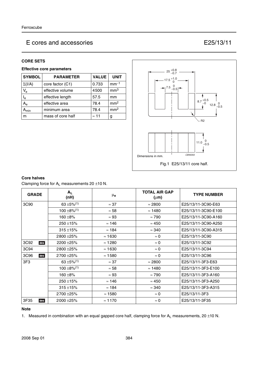# E cores and accessories E25/13/11

## **CORE SETS**

## **Effective core parameters**

| <b>SYMBOL</b>    | <b>PARAMETER</b>  | <b>VALUE</b> | <b>UNIT</b>     |
|------------------|-------------------|--------------|-----------------|
| $\Sigma(I/A)$    | core factor (C1)  | 0.733        | $mm-1$          |
| $V_{e}$          | effective volume  | 4500         | mm <sup>3</sup> |
| $I_e$            | effective length  | 57.5         | mm              |
| $A_{\rm e}$      | effective area    | 78.4         | mm <sup>2</sup> |
| $A_{\text{min}}$ | minimum area      | 78.4         | mm <sup>2</sup> |
| m                | mass of core half | $\approx$ 11 | g               |



### **Core halves**

Clamping force for  $A_L$  measurements 20  $\pm$ 10 N.

| <b>GRADE</b> | $A_L$<br>(nH)               | μe             | <b>TOTAL AIR GAP</b><br>$(\mu m)$ | <b>TYPE NUMBER</b>  |
|--------------|-----------------------------|----------------|-----------------------------------|---------------------|
| 3C90         | $63 \pm 5\%$ <sup>(1)</sup> | $\approx$ 37   | $\approx 2800$                    | E25/13/11-3C90-E63  |
|              | $100 \pm 8\%/1$             | $\approx 58$   | $\approx$ 1480                    | E25/13/11-3C90-E100 |
|              | $160 + 8%$                  | $\approx 93$   | $\approx 790$                     | E25/13/11-3C90-A160 |
|              | $250 \pm 15\%$              | $\approx$ 146  | $\approx 450$                     | E25/13/11-3C90-A250 |
|              | $315 + 15%$                 | $\approx$ 184  | $\approx 340$                     | E25/13/11-3C90-A315 |
|              | 2800 ± 25%                  | $\approx$ 1630 | $\approx 0$                       | E25/13/11-3C90      |
| 3C92<br>des  | 2200 ± 25%                  | $\approx$ 1280 | $\approx 0$                       | E25/13/11-3C92      |
| 3C94         | 2800 ± 25%                  | $\approx$ 1630 | $\approx 0$                       | E25/13/11-3C94      |
| 3C96<br>des  | 2700 ± 25%                  | $\approx 1580$ | $\approx 0$                       | E25/13/11-3C96      |
| 3F3          | $63 \pm 5\%$ <sup>(1)</sup> | $\approx$ 37   | $\approx 2800$                    | E25/13/11-3F3-E63   |
|              | $100 \pm 8\%/1$             | $\approx$ 58   | $\approx$ 1480                    | E25/13/11-3F3-E100  |
|              | $160 + 8%$                  | $\approx 93$   | $\approx 790$                     | E25/13/11-3F3-A160  |
|              | $250 \pm 15\%$              | $\approx$ 146  | $\approx 450$                     | E25/13/11-3F3-A250  |
|              | $315 + 15%$                 | $\approx$ 184  | $\approx 340$                     | E25/13/11-3F3-A315  |
|              | 2700 ± 25%                  | $\approx$ 1580 | $\approx 0$                       | E25/13/11-3F3       |
| 3F35<br>des  | 2000 ± 25%                  | $\approx$ 1170 | $\approx 0$                       | E25/13/11-3F35      |

### **Note**

1. Measured in combination with an equal gapped core half, clamping force for  $A_L$  measurements, 20  $\pm$ 10 N.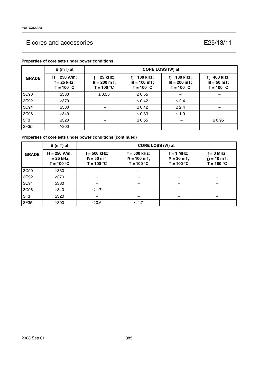# E cores and accessories E25/13/11

|                 | B (mT) at                                       | CORE LOSS (W) at                               |                                                 |                                                  |                                                 |
|-----------------|-------------------------------------------------|------------------------------------------------|-------------------------------------------------|--------------------------------------------------|-------------------------------------------------|
| <b>GRADE</b>    | $H = 250$ A/m;<br>$f = 25$ kHz;<br>$T = 100 °C$ | $f = 25$ kHz;<br>$B = 200 mT;$<br>$T = 100 °C$ | $f = 100$ kHz;<br>$B = 100$ mT;<br>$T = 100 °C$ | $f = 100$ kHz;<br>$B = 200 mT$ ;<br>$T = 100 °C$ | $f = 400$ kHz;<br>$B = 50 mT$ ;<br>$T = 100 °C$ |
| 3C90            | $\geq$ 330                                      | $\leq 0.55$                                    | $\leq 0.55$                                     |                                                  |                                                 |
| 3C92            | $\geq$ 370                                      |                                                | $\leq 0.42$                                     | $\leq$ 2.4                                       |                                                 |
| 3C94            | $\geq$ 330                                      |                                                | $\leq 0.42$                                     | $\leq 2.4$                                       |                                                 |
| 3C96            | $\geq$ 340                                      |                                                | $\leq 0.33$                                     | $\leq 1.9$                                       |                                                 |
| 3F <sub>3</sub> | $\geq 320$                                      |                                                | $\leq 0.55$                                     |                                                  | $\leq 0.95$                                     |
| 3F35            | $\geq$ 300                                      |                                                |                                                 |                                                  |                                                 |

## **Properties of core sets under power conditions**

# **Properties of core sets under power conditions (continued)**

|                 | $B(mT)$ at                                      | CORE LOSS (W) at                               |                                                 |                                              |                                                    |
|-----------------|-------------------------------------------------|------------------------------------------------|-------------------------------------------------|----------------------------------------------|----------------------------------------------------|
| <b>GRADE</b>    | $H = 250$ A/m;<br>$f = 25$ kHz;<br>$T = 100 °C$ | $f = 500$ kHz;<br>$B = 50 mT;$<br>$T = 100 °C$ | $f = 500$ kHz;<br>$B = 100$ mT;<br>$T = 100 °C$ | $f = 1$ MHz;<br>$B = 30$ mT;<br>$T = 100 °C$ | $f = 3$ MHz;<br>$\hat{B} = 10$ mT;<br>$T = 100 °C$ |
| 3C90            | $\geq$ 330                                      |                                                |                                                 |                                              |                                                    |
| 3C92            | $\geq$ 370                                      |                                                |                                                 |                                              |                                                    |
| 3C94            | $\geq$ 330                                      |                                                |                                                 |                                              |                                                    |
| 3C96            | $\geq$ 340                                      | $\leq 1.7$                                     |                                                 |                                              |                                                    |
| 3F <sub>3</sub> | $\geq$ 320                                      |                                                |                                                 |                                              |                                                    |
| 3F35            | $\geq$ 300                                      | $\leq 0.6$                                     | $\leq 4.7$                                      |                                              |                                                    |